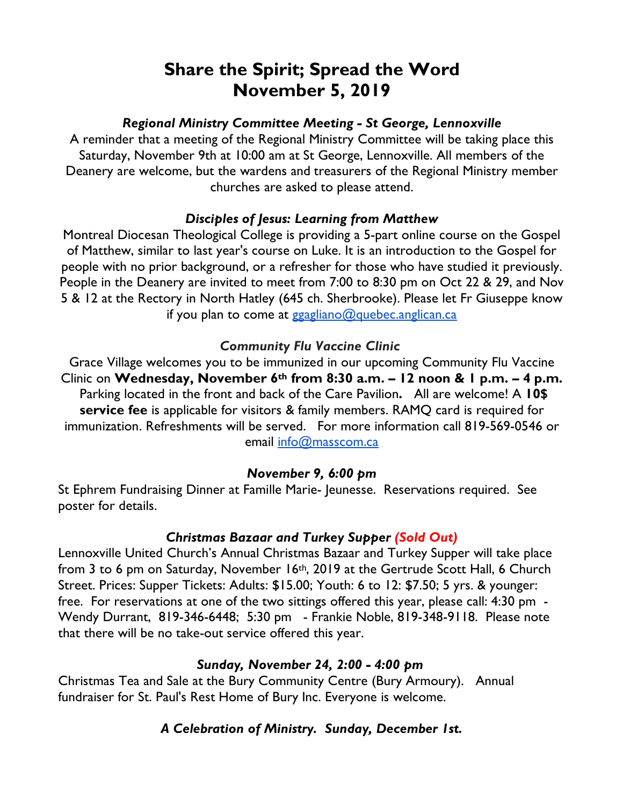# **Share the Spirit; Spread the Word November 5, 2019**

#### *Regional Ministry Committee Meeting - St George, Lennoxville*

A reminder that a meeting of the Regional Ministry Committee will be taking place this Saturday, November 9th at 10:00 am at St George, Lennoxville. All members of the Deanery are welcome, but the wardens and treasurers of the Regional Ministry member churches are asked to please attend.

### *Disciples of Jesus: Learning from Matthew*

Montreal Diocesan Theological College is providing a 5-part online course on the Gospel of Matthew, similar to last year's course on Luke. It is an introduction to the Gospel for people with no prior background, or a refresher for those who have studied it previously. People in the Deanery are invited to meet from 7:00 to 8:30 pm on Oct 22 & 29, and Nov 5 & 12 at the Rectory in North Hatley (645 ch. Sherbrooke). Please let Fr Giuseppe know if you plan to come at ggagliano@quebec.anglican.ca

#### *Community Flu Vaccine Clinic*

Grace Village welcomes you to be immunized in our upcoming Community Flu Vaccine Clinic on **Wednesday, November 6th from 8:30 a.m. – 12 noon & 1 p.m. – 4 p.m.**  Parking located in the front and back of the Care Pavilion**.** All are welcome! A **10\$ service fee** is applicable for visitors & family members. RAMQ card is required for immunization. Refreshments will be served. For more information call 819-569-0546 or email info@masscom.ca

#### *November 9, 6:00 pm*

St Ephrem Fundraising Dinner at Famille Marie- Jeunesse. Reservations required. See poster for details.

## *Christmas Bazaar and Turkey Supper (Sold Out)*

Lennoxville United Church's Annual Christmas Bazaar and Turkey Supper will take place from 3 to 6 pm on Saturday, November 16<sup>th</sup>, 2019 at the Gertrude Scott Hall, 6 Church Street. Prices: Supper Tickets: Adults: \$15.00; Youth: 6 to 12: \$7.50; 5 yrs. & younger: free. For reservations at one of the two sittings offered this year, please call: 4:30 pm - Wendy Durrant, 819-346-6448; 5:30 pm - Frankie Noble, 819-348-9118. Please note that there will be no take-out service offered this year.

#### *Sunday, November 24, 2:00 - 4:00 pm*

Christmas Tea and Sale at the Bury Community Centre (Bury Armoury). Annual fundraiser for St. Paul's Rest Home of Bury Inc. Everyone is welcome.

## *A Celebration of Ministry. Sunday, December 1st.*